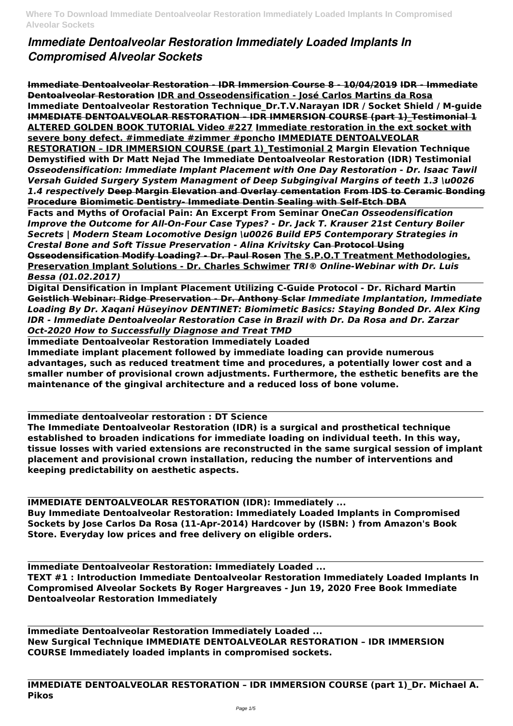## *Immediate Dentoalveolar Restoration Immediately Loaded Implants In Compromised Alveolar Sockets*

**Immediate Dentoalveolar Restoration - IDR Immersion Course 8 - 10/04/2019 IDR - Immediate Dentoalveolar Restoration IDR and Osseodensification - José Carlos Martins da Rosa Immediate Dentoalveolar Restoration Technique\_Dr.T.V.Narayan IDR / Socket Shield / M-guide IMMEDIATE DENTOALVEOLAR RESTORATION - IDR IMMERSION COURSE (part 1) Testimonial 1 ALTERED GOLDEN BOOK TUTORIAL Video #227 Immediate restoration in the ext socket with severe bony defect. #immediate #zimmer #poncho IMMEDIATE DENTOALVEOLAR RESTORATION – IDR IMMERSION COURSE (part 1)\_Testimonial 2 Margin Elevation Technique Demystified with Dr Matt Nejad The Immediate Dentoalveolar Restoration (IDR) Testimonial** *Osseodensification: Immediate Implant Placement with One Day Restoration - Dr. Isaac Tawil Versah Guided Surgery System Managment of Deep Subgingival Margins of teeth 1.3 \u0026 1.4 respectively* **Deep Margin Elevation and Overlay cementation From IDS to Ceramic Bonding Procedure Biomimetic Dentistry- Immediate Dentin Sealing with Self-Etch DBA**

**Facts and Myths of Orofacial Pain: An Excerpt From Seminar One***Can Osseodensification Improve the Outcome for All-On-Four Case Types? - Dr. Jack T. Krauser 21st Century Boiler Secrets | Modern Steam Locomotive Design \u0026 Build EP5 Contemporary Strategies in Crestal Bone and Soft Tissue Preservation - Alina Krivitsky* **Can Protocol Using Osseodensification Modify Loading? - Dr. Paul Rosen The S.P.O.T Treatment Methodologies, Preservation Implant Solutions - Dr. Charles Schwimer** *TRI® Online-Webinar with Dr. Luis Bessa (01.02.2017)*

**Digital Densification in Implant Placement Utilizing C-Guide Protocol - Dr. Richard Martin Geistlich Webinar: Ridge Preservation - Dr. Anthony Sclar** *Immediate Implantation, Immediate Loading By Dr. Xaqani Hüseyinov DENTINET: Biomimetic Basics: Staying Bonded Dr. Alex King IDR - Immediate Dentoalveolar Restoration Case in Brazil with Dr. Da Rosa and Dr. Zarzar Oct-2020 How to Successfully Diagnose and Treat TMD*

**Immediate Dentoalveolar Restoration Immediately Loaded Immediate implant placement followed by immediate loading can provide numerous advantages, such as reduced treatment time and procedures, a potentially lower cost and a smaller number of provisional crown adjustments. Furthermore, the esthetic benefits are the maintenance of the gingival architecture and a reduced loss of bone volume.**

**Immediate dentoalveolar restoration : DT Science**

**The Immediate Dentoalveolar Restoration (IDR) is a surgical and prosthetical technique established to broaden indications for immediate loading on individual teeth. In this way, tissue losses with varied extensions are reconstructed in the same surgical session of implant placement and provisional crown installation, reducing the number of interventions and keeping predictability on aesthetic aspects.**

**IMMEDIATE DENTOALVEOLAR RESTORATION (IDR): Immediately ... Buy Immediate Dentoalveolar Restoration: Immediately Loaded Implants in Compromised Sockets by Jose Carlos Da Rosa (11-Apr-2014) Hardcover by (ISBN: ) from Amazon's Book Store. Everyday low prices and free delivery on eligible orders.**

**Immediate Dentoalveolar Restoration: Immediately Loaded ...**

**TEXT #1 : Introduction Immediate Dentoalveolar Restoration Immediately Loaded Implants In Compromised Alveolar Sockets By Roger Hargreaves - Jun 19, 2020 Free Book Immediate Dentoalveolar Restoration Immediately**

**Immediate Dentoalveolar Restoration Immediately Loaded ... New Surgical Technique IMMEDIATE DENTOALVEOLAR RESTORATION – IDR IMMERSION COURSE Immediately loaded implants in compromised sockets.**

**IMMEDIATE DENTOALVEOLAR RESTORATION – IDR IMMERSION COURSE (part 1)\_Dr. Michael A. Pikos**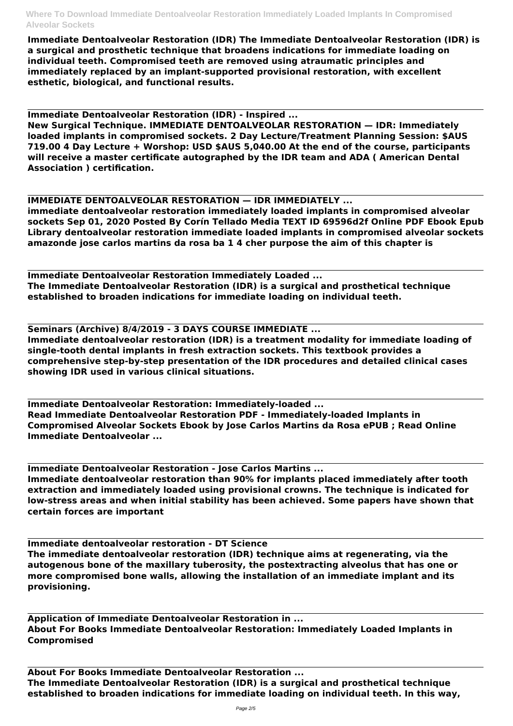**Immediate Dentoalveolar Restoration (IDR) The Immediate Dentoalveolar Restoration (IDR) is a surgical and prosthetic technique that broadens indications for immediate loading on individual teeth. Compromised teeth are removed using atraumatic principles and immediately replaced by an implant-supported provisional restoration, with excellent esthetic, biological, and functional results.**

**Immediate Dentoalveolar Restoration (IDR) - Inspired ...**

**New Surgical Technique. IMMEDIATE DENTOALVEOLAR RESTORATION — IDR: Immediately loaded implants in compromised sockets. 2 Day Lecture/Treatment Planning Session: \$AUS 719.00 4 Day Lecture + Worshop: USD \$AUS 5,040.00 At the end of the course, participants will receive a master certificate autographed by the IDR team and ADA ( American Dental Association ) certification.**

## **IMMEDIATE DENTOALVEOLAR RESTORATION — IDR IMMEDIATELY ...**

**immediate dentoalveolar restoration immediately loaded implants in compromised alveolar sockets Sep 01, 2020 Posted By Corín Tellado Media TEXT ID 69596d2f Online PDF Ebook Epub Library dentoalveolar restoration immediate loaded implants in compromised alveolar sockets amazonde jose carlos martins da rosa ba 1 4 cher purpose the aim of this chapter is**

**Immediate Dentoalveolar Restoration Immediately Loaded ... The Immediate Dentoalveolar Restoration (IDR) is a surgical and prosthetical technique established to broaden indications for immediate loading on individual teeth.**

**Seminars (Archive) 8/4/2019 - 3 DAYS COURSE IMMEDIATE ...**

**Immediate dentoalveolar restoration (IDR) is a treatment modality for immediate loading of single-tooth dental implants in fresh extraction sockets. This textbook provides a comprehensive step-by-step presentation of the IDR procedures and detailed clinical cases showing IDR used in various clinical situations.**

**Immediate Dentoalveolar Restoration: Immediately-loaded ... Read Immediate Dentoalveolar Restoration PDF - Immediately-loaded Implants in Compromised Alveolar Sockets Ebook by Jose Carlos Martins da Rosa ePUB ; Read Online Immediate Dentoalveolar ...**

**Immediate Dentoalveolar Restoration - Jose Carlos Martins ...**

**Immediate dentoalveolar restoration than 90% for implants placed immediately after tooth extraction and immediately loaded using provisional crowns. The technique is indicated for low-stress areas and when initial stability has been achieved. Some papers have shown that certain forces are important**

**The immediate dentoalveolar restoration (IDR) technique aims at regenerating, via the autogenous bone of the maxillary tuberosity, the postextracting alveolus that has one or more compromised bone walls, allowing the installation of an immediate implant and its provisioning.**

## **Application of Immediate Dentoalveolar Restoration in ... About For Books Immediate Dentoalveolar Restoration: Immediately Loaded Implants in Compromised**

**About For Books Immediate Dentoalveolar Restoration ... The Immediate Dentoalveolar Restoration (IDR) is a surgical and prosthetical technique established to broaden indications for immediate loading on individual teeth. In this way,**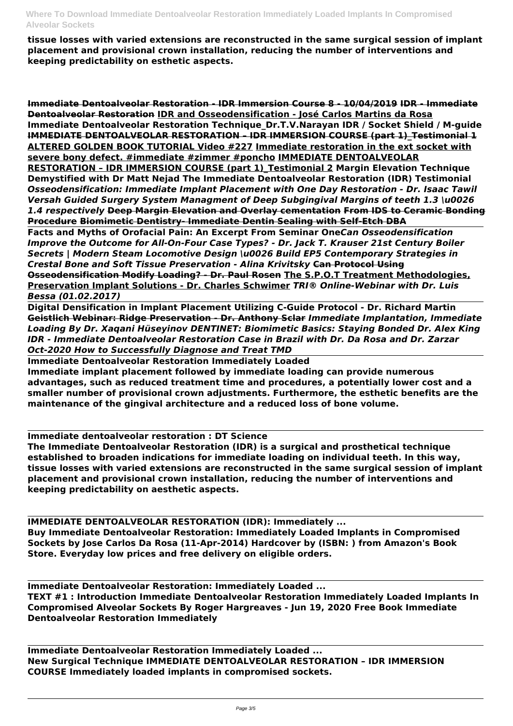**tissue losses with varied extensions are reconstructed in the same surgical session of implant placement and provisional crown installation, reducing the number of interventions and keeping predictability on esthetic aspects.**

**Immediate Dentoalveolar Restoration - IDR Immersion Course 8 - 10/04/2019 IDR - Immediate Dentoalveolar Restoration IDR and Osseodensification - José Carlos Martins da Rosa Immediate Dentoalveolar Restoration Technique\_Dr.T.V.Narayan IDR / Socket Shield / M-guide IMMEDIATE DENTOALVEOLAR RESTORATION - IDR IMMERSION COURSE (part 1) Testimonial 1 ALTERED GOLDEN BOOK TUTORIAL Video #227 Immediate restoration in the ext socket with severe bony defect. #immediate #zimmer #poncho IMMEDIATE DENTOALVEOLAR RESTORATION – IDR IMMERSION COURSE (part 1)\_Testimonial 2 Margin Elevation Technique Demystified with Dr Matt Nejad The Immediate Dentoalveolar Restoration (IDR) Testimonial** *Osseodensification: Immediate Implant Placement with One Day Restoration - Dr. Isaac Tawil Versah Guided Surgery System Managment of Deep Subgingival Margins of teeth 1.3 \u0026 1.4 respectively* **Deep Margin Elevation and Overlay cementation From IDS to Ceramic Bonding Procedure Biomimetic Dentistry- Immediate Dentin Sealing with Self-Etch DBA**

**Facts and Myths of Orofacial Pain: An Excerpt From Seminar One***Can Osseodensification Improve the Outcome for All-On-Four Case Types? - Dr. Jack T. Krauser 21st Century Boiler Secrets | Modern Steam Locomotive Design \u0026 Build EP5 Contemporary Strategies in Crestal Bone and Soft Tissue Preservation - Alina Krivitsky* **Can Protocol Using Osseodensification Modify Loading? - Dr. Paul Rosen The S.P.O.T Treatment Methodologies, Preservation Implant Solutions - Dr. Charles Schwimer** *TRI® Online-Webinar with Dr. Luis Bessa (01.02.2017)*

**Digital Densification in Implant Placement Utilizing C-Guide Protocol - Dr. Richard Martin Geistlich Webinar: Ridge Preservation - Dr. Anthony Sclar** *Immediate Implantation, Immediate Loading By Dr. Xaqani Hüseyinov DENTINET: Biomimetic Basics: Staying Bonded Dr. Alex King IDR - Immediate Dentoalveolar Restoration Case in Brazil with Dr. Da Rosa and Dr. Zarzar Oct-2020 How to Successfully Diagnose and Treat TMD*

**Immediate Dentoalveolar Restoration Immediately Loaded Immediate implant placement followed by immediate loading can provide numerous advantages, such as reduced treatment time and procedures, a potentially lower cost and a smaller number of provisional crown adjustments. Furthermore, the esthetic benefits are the maintenance of the gingival architecture and a reduced loss of bone volume.**

**Immediate dentoalveolar restoration : DT Science**

**The Immediate Dentoalveolar Restoration (IDR) is a surgical and prosthetical technique established to broaden indications for immediate loading on individual teeth. In this way, tissue losses with varied extensions are reconstructed in the same surgical session of implant placement and provisional crown installation, reducing the number of interventions and keeping predictability on aesthetic aspects.**

**IMMEDIATE DENTOALVEOLAR RESTORATION (IDR): Immediately ... Buy Immediate Dentoalveolar Restoration: Immediately Loaded Implants in Compromised Sockets by Jose Carlos Da Rosa (11-Apr-2014) Hardcover by (ISBN: ) from Amazon's Book**

**Store. Everyday low prices and free delivery on eligible orders.**

**Immediate Dentoalveolar Restoration: Immediately Loaded ... TEXT #1 : Introduction Immediate Dentoalveolar Restoration Immediately Loaded Implants In Compromised Alveolar Sockets By Roger Hargreaves - Jun 19, 2020 Free Book Immediate Dentoalveolar Restoration Immediately**

**Immediate Dentoalveolar Restoration Immediately Loaded ... New Surgical Technique IMMEDIATE DENTOALVEOLAR RESTORATION – IDR IMMERSION COURSE Immediately loaded implants in compromised sockets.**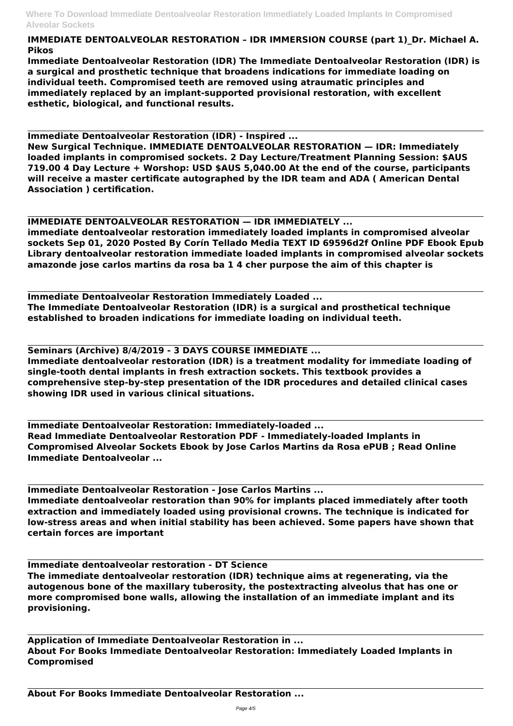**IMMEDIATE DENTOALVEOLAR RESTORATION – IDR IMMERSION COURSE (part 1)\_Dr. Michael A. Pikos**

**Immediate Dentoalveolar Restoration (IDR) The Immediate Dentoalveolar Restoration (IDR) is a surgical and prosthetic technique that broadens indications for immediate loading on individual teeth. Compromised teeth are removed using atraumatic principles and immediately replaced by an implant-supported provisional restoration, with excellent esthetic, biological, and functional results.**

**Immediate Dentoalveolar Restoration (IDR) - Inspired ...**

**New Surgical Technique. IMMEDIATE DENTOALVEOLAR RESTORATION — IDR: Immediately loaded implants in compromised sockets. 2 Day Lecture/Treatment Planning Session: \$AUS 719.00 4 Day Lecture + Worshop: USD \$AUS 5,040.00 At the end of the course, participants will receive a master certificate autographed by the IDR team and ADA ( American Dental Association ) certification.**

**IMMEDIATE DENTOALVEOLAR RESTORATION — IDR IMMEDIATELY ...**

**immediate dentoalveolar restoration immediately loaded implants in compromised alveolar sockets Sep 01, 2020 Posted By Corín Tellado Media TEXT ID 69596d2f Online PDF Ebook Epub Library dentoalveolar restoration immediate loaded implants in compromised alveolar sockets amazonde jose carlos martins da rosa ba 1 4 cher purpose the aim of this chapter is**

**Immediate Dentoalveolar Restoration Immediately Loaded ... The Immediate Dentoalveolar Restoration (IDR) is a surgical and prosthetical technique established to broaden indications for immediate loading on individual teeth.**

**Seminars (Archive) 8/4/2019 - 3 DAYS COURSE IMMEDIATE ...**

**Immediate dentoalveolar restoration (IDR) is a treatment modality for immediate loading of single-tooth dental implants in fresh extraction sockets. This textbook provides a comprehensive step-by-step presentation of the IDR procedures and detailed clinical cases showing IDR used in various clinical situations.**

**Immediate Dentoalveolar Restoration: Immediately-loaded ... Read Immediate Dentoalveolar Restoration PDF - Immediately-loaded Implants in Compromised Alveolar Sockets Ebook by Jose Carlos Martins da Rosa ePUB ; Read Online Immediate Dentoalveolar ...**

**Immediate Dentoalveolar Restoration - Jose Carlos Martins ... Immediate dentoalveolar restoration than 90% for implants placed immediately after tooth extraction and immediately loaded using provisional crowns. The technique is indicated for low-stress areas and when initial stability has been achieved. Some papers have shown that certain forces are important**

**Immediate dentoalveolar restoration - DT Science**

**The immediate dentoalveolar restoration (IDR) technique aims at regenerating, via the autogenous bone of the maxillary tuberosity, the postextracting alveolus that has one or more compromised bone walls, allowing the installation of an immediate implant and its provisioning.**

**Application of Immediate Dentoalveolar Restoration in ... About For Books Immediate Dentoalveolar Restoration: Immediately Loaded Implants in Compromised**

**About For Books Immediate Dentoalveolar Restoration ...**